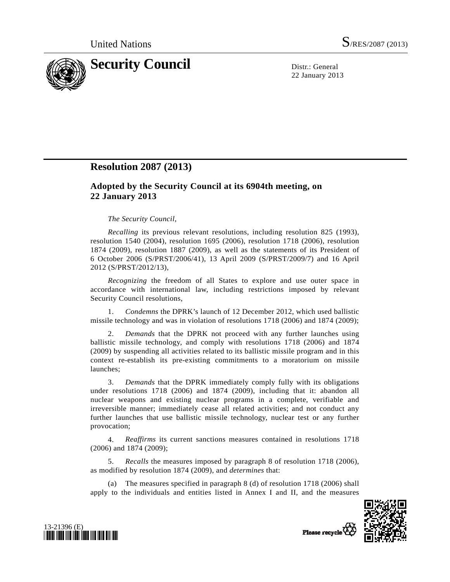

22 January 2013

# **Resolution 2087 (2013)**

## **Adopted by the Security Council at its 6904th meeting, on 22 January 2013**

#### *The Security Council*,

*Recalling* its previous relevant resolutions, including resolution 825 (1993), resolution 1540 (2004), resolution 1695 (2006), resolution 1718 (2006), resolution 1874 (2009), resolution 1887 (2009), as well as the statements of its President of 6 October 2006 (S/PRST/2006/41), 13 April 2009 (S/PRST/2009/7) and 16 April 2012 (S/PRST/2012/13),

*Recognizing* the freedom of all States to explore and use outer space in accordance with international law, including restrictions imposed by relevant Security Council resolutions,

 1. *Condemns* the DPRK's launch of 12 December 2012, which used ballistic missile technology and was in violation of resolutions 1718 (2006) and 1874 (2009);

 2. *Demands* that the DPRK not proceed with any further launches using ballistic missile technology, and comply with resolutions 1718 (2006) and 1874 (2009) by suspending all activities related to its ballistic missile program and in this context re-establish its pre-existing commitments to a moratorium on missile launches;

 3. *Demands* that the DPRK immediately comply fully with its obligations under resolutions 1718 (2006) and 1874 (2009), including that it: abandon all nuclear weapons and existing nuclear programs in a complete, verifiable and irreversible manner; immediately cease all related activities; and not conduct any further launches that use ballistic missile technology, nuclear test or any further provocation;

 4. *Reaffirms* its current sanctions measures contained in resolutions 1718 (2006) and 1874 (2009);

 5. *Recalls* the measures imposed by paragraph 8 of resolution 1718 (2006), as modified by resolution 1874 (2009), and *determines* that:

 (a) The measures specified in paragraph 8 (d) of resolution 1718 (2006) shall apply to the individuals and entities listed in Annex I and II, and the measures



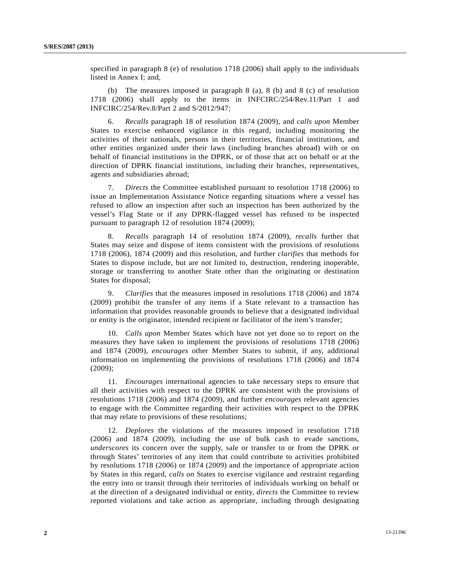specified in paragraph 8 (e) of resolution 1718 (2006) shall apply to the individuals listed in Annex I; and,

 (b) The measures imposed in paragraph 8 (a), 8 (b) and 8 (c) of resolution 1718 (2006) shall apply to the items in INFCIRC/254/Rev.11/Part 1 and INFCIRC/254/Rev.8/Part 2 and S/2012/947;

 6. *Recalls* paragraph 18 of resolution 1874 (2009), and *calls upon* Member States to exercise enhanced vigilance in this regard, including monitoring the activities of their nationals, persons in their territories, financial institutions, and other entities organized under their laws (including branches abroad) with or on behalf of financial institutions in the DPRK, or of those that act on behalf or at the direction of DPRK financial institutions, including their branches, representatives, agents and subsidiaries abroad;

 7. *Directs* the Committee established pursuant to resolution 1718 (2006) to issue an Implementation Assistance Notice regarding situations where a vessel has refused to allow an inspection after such an inspection has been authorized by the vessel's Flag State or if any DPRK-flagged vessel has refused to be inspected pursuant to paragraph 12 of resolution 1874 (2009);

 8. *Recalls* paragraph 14 of resolution 1874 (2009), *recalls* further that States may seize and dispose of items consistent with the provisions of resolutions 1718 (2006), 1874 (2009) and this resolution, and further *clarifies* that methods for States to dispose include, but are not limited to, destruction, rendering inoperable, storage or transferring to another State other than the originating or destination States for disposal;

 9. *Clarifies* that the measures imposed in resolutions 1718 (2006) and 1874 (2009) prohibit the transfer of any items if a State relevant to a transaction has information that provides reasonable grounds to believe that a designated individual or entity is the originator, intended recipient or facilitator of the item's transfer;

 10. *Calls upon* Member States which have not yet done so to report on the measures they have taken to implement the provisions of resolutions 1718 (2006) and 1874 (2009), *encourages* other Member States to submit, if any, additional information on implementing the provisions of resolutions 1718 (2006) and 1874 (2009);

 11. *Encourages* international agencies to take necessary steps to ensure that all their activities with respect to the DPRK are consistent with the provisions of resolutions 1718 (2006) and 1874 (2009), and further *encourages* relevant agencies to engage with the Committee regarding their activities with respect to the DPRK that may relate to provisions of these resolutions;

 12. *Deplores* the violations of the measures imposed in resolution 1718 (2006) and 1874 (2009), including the use of bulk cash to evade sanctions, *underscores* its concern over the supply, sale or transfer to or from the DPRK or through States' territories of any item that could contribute to activities prohibited by resolutions 1718 (2006) or 1874 (2009) and the importance of appropriate action by States in this regard, *calls on* States to exercise vigilance and restraint regarding the entry into or transit through their territories of individuals working on behalf or at the direction of a designated individual or entity, *directs* the Committee to review reported violations and take action as appropriate, including through designating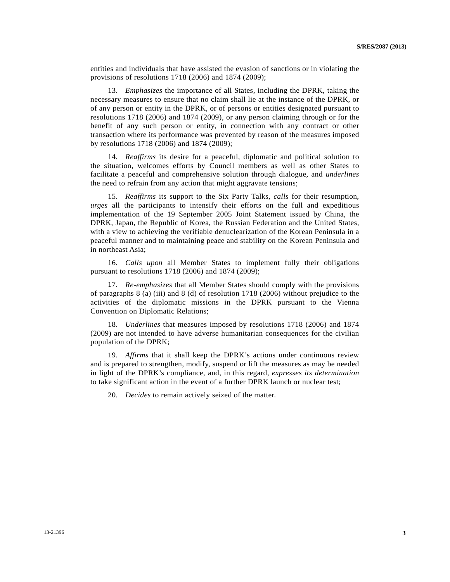entities and individuals that have assisted the evasion of sanctions or in violating the provisions of resolutions 1718 (2006) and 1874 (2009);

 13. *Emphasizes* the importance of all States, including the DPRK, taking the necessary measures to ensure that no claim shall lie at the instance of the DPRK, or of any person or entity in the DPRK, or of persons or entities designated pursuant to resolutions 1718 (2006) and 1874 (2009), or any person claiming through or for the benefit of any such person or entity, in connection with any contract or other transaction where its performance was prevented by reason of the measures imposed by resolutions 1718 (2006) and 1874 (2009);

 14. *Reaffirms* its desire for a peaceful, diplomatic and political solution to the situation, welcomes efforts by Council members as well as other States to facilitate a peaceful and comprehensive solution through dialogue, and *underlines* the need to refrain from any action that might aggravate tensions;

 15. *Reaffirms* its support to the Six Party Talks, *calls* for their resumption, *urges* all the participants to intensify their efforts on the full and expeditious implementation of the 19 September 2005 Joint Statement issued by China, the DPRK, Japan, the Republic of Korea, the Russian Federation and the United States, with a view to achieving the verifiable denuclearization of the Korean Peninsula in a peaceful manner and to maintaining peace and stability on the Korean Peninsula and in northeast Asia;

 16. *Calls upon* all Member States to implement fully their obligations pursuant to resolutions 1718 (2006) and 1874 (2009);

 17. *Re-emphasizes* that all Member States should comply with the provisions of paragraphs 8 (a) (iii) and 8 (d) of resolution 1718 (2006) without prejudice to the activities of the diplomatic missions in the DPRK pursuant to the Vienna Convention on Diplomatic Relations;

 18. *Underlines* that measures imposed by resolutions 1718 (2006) and 1874 (2009) are not intended to have adverse humanitarian consequences for the civilian population of the DPRK;

 19. *Affirms* that it shall keep the DPRK's actions under continuous review and is prepared to strengthen, modify, suspend or lift the measures as may be needed in light of the DPRK's compliance, and, in this regard, *expresses its determination* to take significant action in the event of a further DPRK launch or nuclear test;

20. *Decides* to remain actively seized of the matter.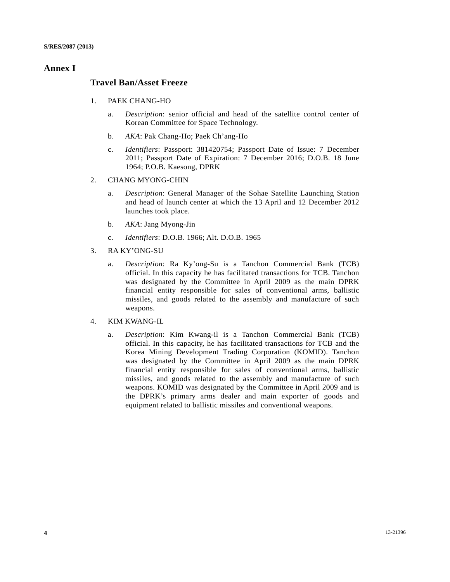### **Annex I**

### **Travel Ban/Asset Freeze**

- 1. PAEK CHANG-HO
	- a. *Description*: senior official and head of the satellite control center of Korean Committee for Space Technology.
	- b. *AKA*: Pak Chang-Ho; Paek Ch'ang-Ho
	- c. *Identifiers*: Passport: 381420754; Passport Date of Issue: 7 December 2011; Passport Date of Expiration: 7 December 2016; D.O.B. 18 June 1964; P.O.B. Kaesong, DPRK
- 2. CHANG MYONG-CHIN
	- a. *Description*: General Manager of the Sohae Satellite Launching Station and head of launch center at which the 13 April and 12 December 2012 launches took place.
	- b. *AKA*: Jang Myong-Jin
	- c. *Identifiers*: D.O.B. 1966; Alt. D.O.B. 1965
- 3. RA KY'ONG-SU
	- a. *Description*: Ra Ky'ong-Su is a Tanchon Commercial Bank (TCB) official. In this capacity he has facilitated transactions for TCB. Tanchon was designated by the Committee in April 2009 as the main DPRK financial entity responsible for sales of conventional arms, ballistic missiles, and goods related to the assembly and manufacture of such weapons.
- 4. KIM KWANG-IL
	- a. *Description*: Kim Kwang-il is a Tanchon Commercial Bank (TCB) official. In this capacity, he has facilitated transactions for TCB and the Korea Mining Development Trading Corporation (KOMID). Tanchon was designated by the Committee in April 2009 as the main DPRK financial entity responsible for sales of conventional arms, ballistic missiles, and goods related to the assembly and manufacture of such weapons. KOMID was designated by the Committee in April 2009 and is the DPRK's primary arms dealer and main exporter of goods and equipment related to ballistic missiles and conventional weapons.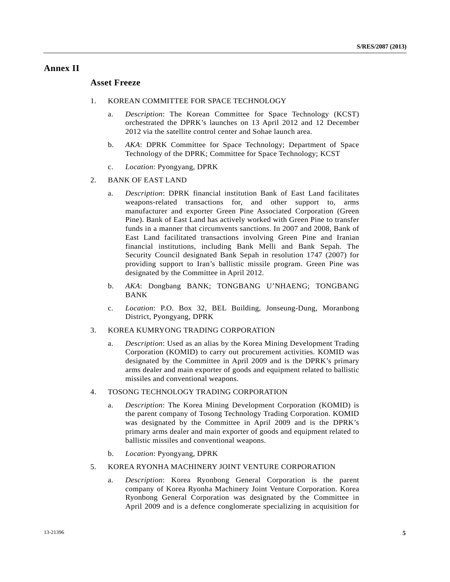## **Annex II**

## **Asset Freeze**

- 1. KOREAN COMMITTEE FOR SPACE TECHNOLOGY
	- a. *Description*: The Korean Committee for Space Technology (KCST) orchestrated the DPRK's launches on 13 April 2012 and 12 December 2012 via the satellite control center and Sohae launch area.
	- b. *AKA*: DPRK Committee for Space Technology; Department of Space Technology of the DPRK; Committee for Space Technology; KCST
	- c. *Location*: Pyongyang, DPRK
- 2. BANK OF EAST LAND
	- a. *Description*: DPRK financial institution Bank of East Land facilitates weapons-related transactions for, and other support to, arms manufacturer and exporter Green Pine Associated Corporation (Green Pine). Bank of East Land has actively worked with Green Pine to transfer funds in a manner that circumvents sanctions. In 2007 and 2008, Bank of East Land facilitated transactions involving Green Pine and Iranian financial institutions, including Bank Melli and Bank Sepah. The Security Council designated Bank Sepah in resolution 1747 (2007) for providing support to Iran's ballistic missile program. Green Pine was designated by the Committee in April 2012.
	- b. *AKA*: Dongbang BANK; TONGBANG U'NHAENG; TONGBANG BANK
	- c. *Location*: P.O. Box 32, BEL Building, Jonseung-Dung, Moranbong District, Pyongyang, DPRK
- 3. KOREA KUMRYONG TRADING CORPORATION
	- a. *Description*: Used as an alias by the Korea Mining Development Trading Corporation (KOMID) to carry out procurement activities. KOMID was designated by the Committee in April 2009 and is the DPRK's primary arms dealer and main exporter of goods and equipment related to ballistic missiles and conventional weapons.
- 4. TOSONG TECHNOLOGY TRADING CORPORATION
	- a. *Description*: The Korea Mining Development Corporation (KOMID) is the parent company of Tosong Technology Trading Corporation. KOMID was designated by the Committee in April 2009 and is the DPRK's primary arms dealer and main exporter of goods and equipment related to ballistic missiles and conventional weapons.
	- b. *Location*: Pyongyang, DPRK
- 5. KOREA RYONHA MACHINERY JOINT VENTURE CORPORATION
	- a. *Description*: Korea Ryonbong General Corporation is the parent company of Korea Ryonha Machinery Joint Venture Corporation. Korea Ryonbong General Corporation was designated by the Committee in April 2009 and is a defence conglomerate specializing in acquisition for